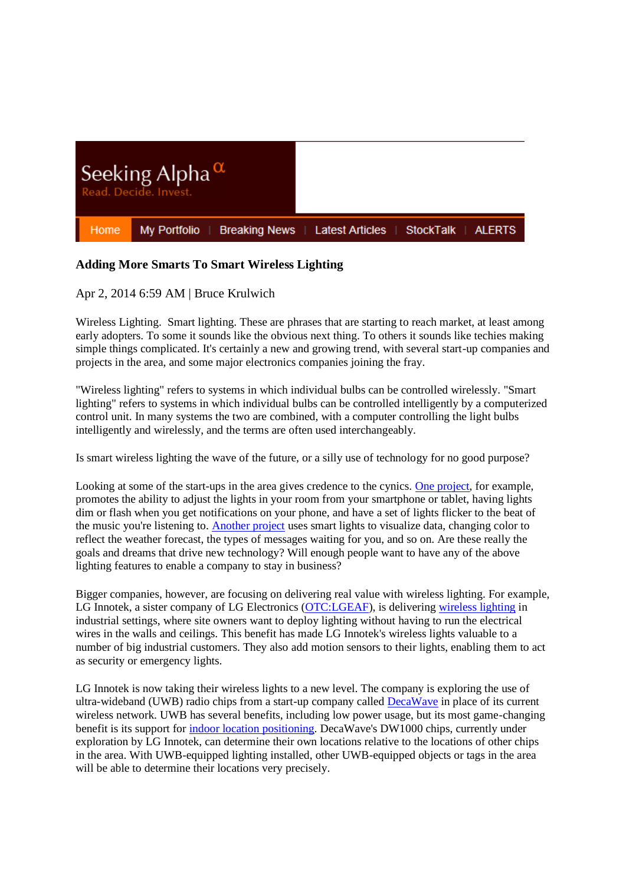

## **Adding More Smarts To Smart Wireless Lighting**

## Apr 2, 2014 6:59 AM | Bruce Krulwich

Wireless Lighting. Smart lighting. These are phrases that are starting to reach market, at least among early adopters. To some it sounds like the obvious next thing. To others it sounds like techies making simple things complicated. It's certainly a new and growing trend, with several start-up companies and projects in the area, and some major electronics companies joining the fray.

"Wireless lighting" refers to systems in which individual bulbs can be controlled wirelessly. "Smart lighting" refers to systems in which individual bulbs can be controlled intelligently by a computerized control unit. In many systems the two are combined, with a computer controlling the light bulbs intelligently and wirelessly, and the terms are often used interchangeably.

Is smart wireless lighting the wave of the future, or a silly use of technology for no good purpose?

Looking at some of the start-ups in the area gives credence to the cynics. [One project,](https://www.kickstarter.com/projects/limemouse/lifx-the-light-bulb-reinvented?ref=live) for example, promotes the ability to adjust the lights in your room from your smartphone or tablet, having lights dim or flash when you get notifications on your phone, and have a set of lights flicker to the beat of the music you're listening to. [Another project](https://www.kickstarter.com/projects/leifp/visualight?ref=live) uses smart lights to visualize data, changing color to reflect the weather forecast, the types of messages waiting for you, and so on. Are these really the goals and dreams that drive new technology? Will enough people want to have any of the above lighting features to enable a company to stay in business?

Bigger companies, however, are focusing on delivering real value with wireless lighting. For example, LG Innotek, a sister company of LG Electronics [\(OTC:LGEAF\)](http://seekingalpha.com/symbol/lgeaf), is delivering [wireless lighting](http://www.lginnotek.com/product/led_light_system.jsp) in industrial settings, where site owners want to deploy lighting without having to run the electrical wires in the walls and ceilings. This benefit has made LG Innotek's wireless lights valuable to a number of big industrial customers. They also add motion sensors to their lights, enabling them to act as security or emergency lights.

LG Innotek is now taking their wireless lights to a new level. The company is exploring the use of ultra-wideband (UWB) radio chips from a start-up company called [DecaWave](http://www.decawave.com/) in place of its current wireless network. UWB has several benefits, including low power usage, but its most game-changing benefit is its support for indoor [location positioning.](http://www.grizzlyanalytics.com/report_2014_02_Indoor.html) DecaWave's DW1000 chips, currently under exploration by LG Innotek, can determine their own locations relative to the locations of other chips in the area. With UWB-equipped lighting installed, other UWB-equipped objects or tags in the area will be able to determine their locations very precisely.